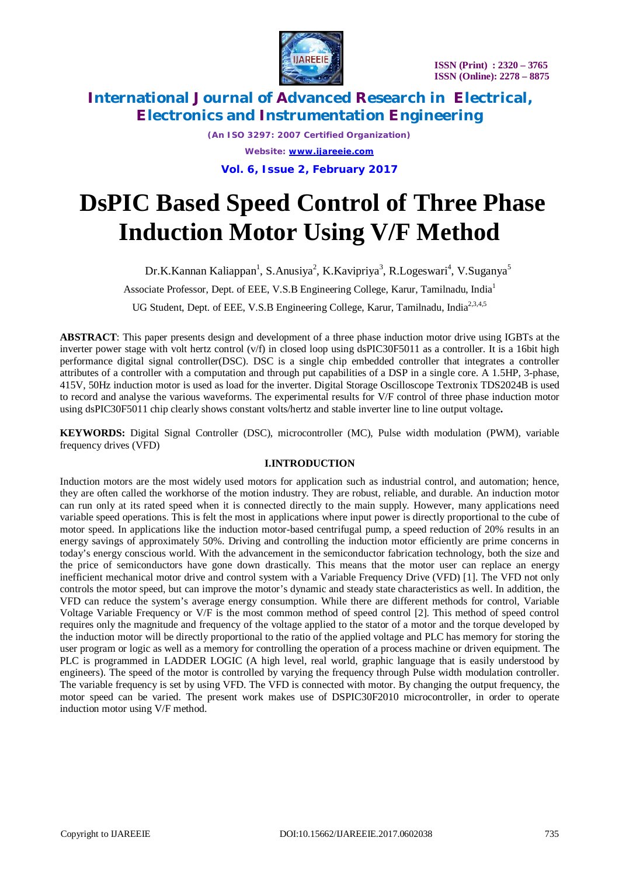

*(An ISO 3297: 2007 Certified Organization) Website: [www.ijareeie.com](http://www.ijareeie.com)* **Vol. 6, Issue 2, February 2017**

# **DsPIC Based Speed Control of Three Phase Induction Motor Using V/F Method**

Dr.K.Kannan Kaliappan<sup>1</sup>, S.Anusiya<sup>2</sup>, K.Kavipriya<sup>3</sup>, R.Logeswari<sup>4</sup>, V.Suganya<sup>5</sup>

Associate Professor, Dept. of EEE, V.S.B Engineering College, Karur, Tamilnadu, India<sup>1</sup>

UG Student, Dept. of EEE, V.S.B Engineering College, Karur, Tamilnadu, India<sup>2,3,4,5</sup>

**ABSTRACT**: This paper presents design and development of a three phase induction motor drive using IGBTs at the inverter power stage with volt hertz control (v/f) in closed loop using dsPIC30F5011 as a controller. It is a 16bit high performance digital signal controller(DSC). DSC is a single chip embedded controller that integrates a controller attributes of a controller with a computation and through put capabilities of a DSP in a single core. A 1.5HP, 3-phase, 415V, 50Hz induction motor is used as load for the inverter. Digital Storage Oscilloscope Textronix TDS2024B is used to record and analyse the various waveforms. The experimental results for V/F control of three phase induction motor using dsPIC30F5011 chip clearly shows constant volts/hertz and stable inverter line to line output voltage**.**

**KEYWORDS:** Digital Signal Controller (DSC), microcontroller (MC), Pulse width modulation (PWM), variable frequency drives (VFD)

#### **I.INTRODUCTION**

Induction motors are the most widely used motors for application such as industrial control, and automation; hence, they are often called the workhorse of the motion industry. They are robust, reliable, and durable. An induction motor can run only at its rated speed when it is connected directly to the main supply. However, many applications need variable speed operations. This is felt the most in applications where input power is directly proportional to the cube of motor speed. In applications like the induction motor-based centrifugal pump, a speed reduction of 20% results in an energy savings of approximately 50%. Driving and controlling the induction motor efficiently are prime concerns in today's energy conscious world. With the advancement in the semiconductor fabrication technology, both the size and the price of semiconductors have gone down drastically. This means that the motor user can replace an energy inefficient mechanical motor drive and control system with a Variable Frequency Drive (VFD) [1]. The VFD not only controls the motor speed, but can improve the motor's dynamic and steady state characteristics as well. In addition, the VFD can reduce the system's average energy consumption. While there are different methods for control, Variable Voltage Variable Frequency or V/F is the most common method of speed control [2]. This method of speed control requires only the magnitude and frequency of the voltage applied to the stator of a motor and the torque developed by the induction motor will be directly proportional to the ratio of the applied voltage and PLC has memory for storing the user program or logic as well as a memory for controlling the operation of a process machine or driven equipment. The PLC is programmed in LADDER LOGIC (A high level, real world, graphic language that is easily understood by engineers). The speed of the motor is controlled by varying the frequency through Pulse width modulation controller. The variable frequency is set by using VFD. The VFD is connected with motor. By changing the output frequency, the motor speed can be varied. The present work makes use of DSPIC30F2010 microcontroller, in order to operate induction motor using V/F method.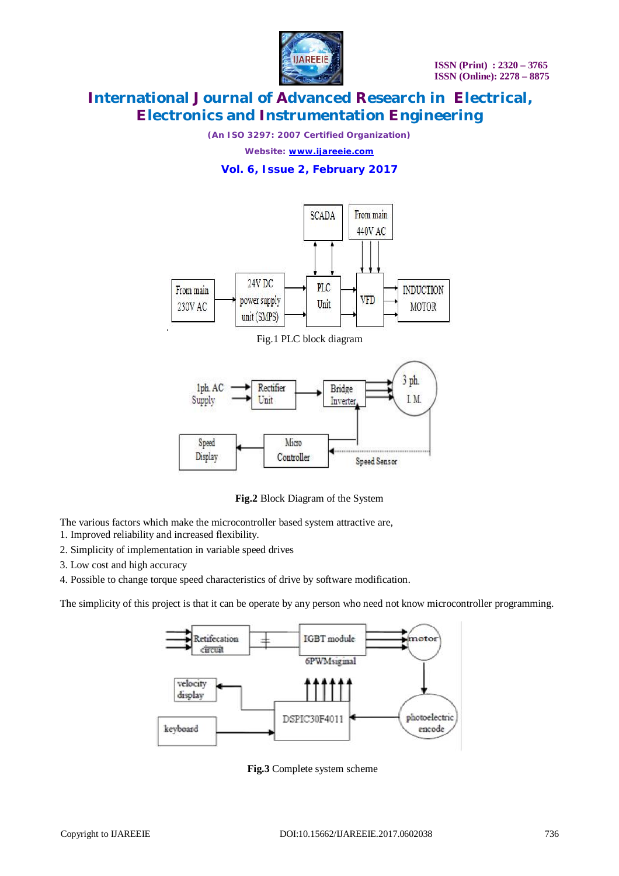

*(An ISO 3297: 2007 Certified Organization)*

*Website: [www.ijareeie.com](http://www.ijareeie.com)*

#### **Vol. 6, Issue 2, February 2017**



Fig.1 PLC block diagram



**Fig.2** Block Diagram of the System

The various factors which make the microcontroller based system attractive are,

- 1. Improved reliability and increased flexibility.
- 2. Simplicity of implementation in variable speed drives
- 3. Low cost and high accuracy
- 4. Possible to change torque speed characteristics of drive by software modification.

The simplicity of this project is that it can be operate by any person who need not know microcontroller programming.



**Fig.3** Complete system scheme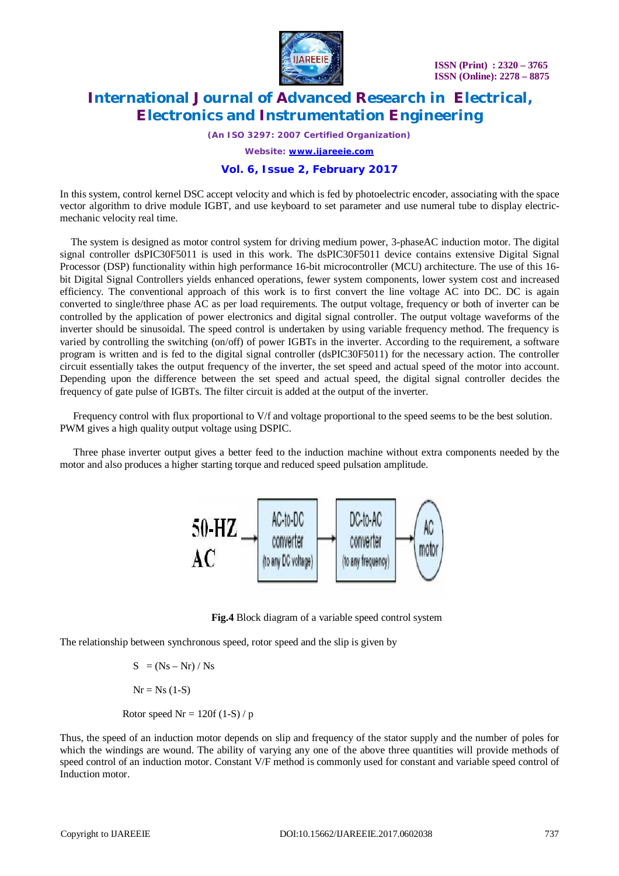

*(An ISO 3297: 2007 Certified Organization)*

*Website: [www.ijareeie.com](http://www.ijareeie.com)*

#### **Vol. 6, Issue 2, February 2017**

In this system, control kernel DSC accept velocity and which is fed by photoelectric encoder, associating with the space vector algorithm to drive module IGBT, and use keyboard to set parameter and use numeral tube to display electricmechanic velocity real time.

The system is designed as motor control system for driving medium power, 3-phaseAC induction motor. The digital signal controller dsPIC30F5011 is used in this work. The dsPIC30F5011 device contains extensive Digital Signal Processor (DSP) functionality within high performance 16-bit microcontroller (MCU) architecture. The use of this 16 bit Digital Signal Controllers yields enhanced operations, fewer system components, lower system cost and increased efficiency. The conventional approach of this work is to first convert the line voltage AC into DC. DC is again converted to single/three phase AC as per load requirements. The output voltage, frequency or both of inverter can be controlled by the application of power electronics and digital signal controller. The output voltage waveforms of the inverter should be sinusoidal. The speed control is undertaken by using variable frequency method. The frequency is varied by controlling the switching (on/off) of power IGBTs in the inverter. According to the requirement, a software program is written and is fed to the digital signal controller (dsPIC30F5011) for the necessary action. The controller circuit essentially takes the output frequency of the inverter, the set speed and actual speed of the motor into account. Depending upon the difference between the set speed and actual speed, the digital signal controller decides the frequency of gate pulse of IGBTs. The filter circuit is added at the output of the inverter.

 Frequency control with flux proportional to V/f and voltage proportional to the speed seems to be the best solution. PWM gives a high quality output voltage using DSPIC.

Three phase inverter output gives a better feed to the induction machine without extra components needed by the motor and also produces a higher starting torque and reduced speed pulsation amplitude.



 **Fig.4** Block diagram of a variable speed control system

The relationship between synchronous speed, rotor speed and the slip is given by

 $S = (Ns - Nr) / Ns$  $Nr = Ns(1-S)$ 

Rotor speed  $Nr = 120f (1-S)/p$ 

Thus, the speed of an induction motor depends on slip and frequency of the stator supply and the number of poles for which the windings are wound. The ability of varying any one of the above three quantities will provide methods of speed control of an induction motor. Constant V/F method is commonly used for constant and variable speed control of Induction motor.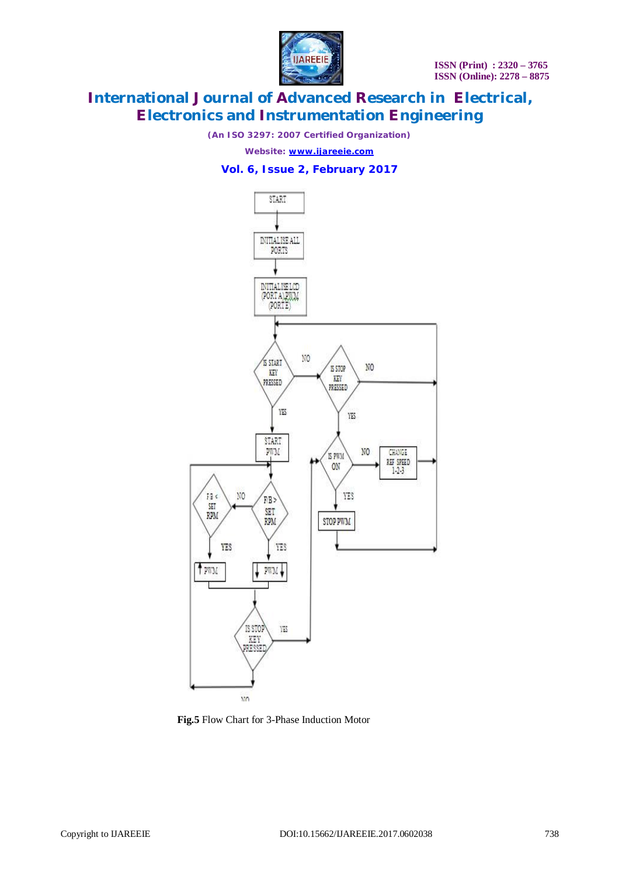

*(An ISO 3297: 2007 Certified Organization)*

*Website: [www.ijareeie.com](http://www.ijareeie.com)*

#### **Vol. 6, Issue 2, February 2017**



**Fig.5** Flow Chart for 3-Phase Induction Motor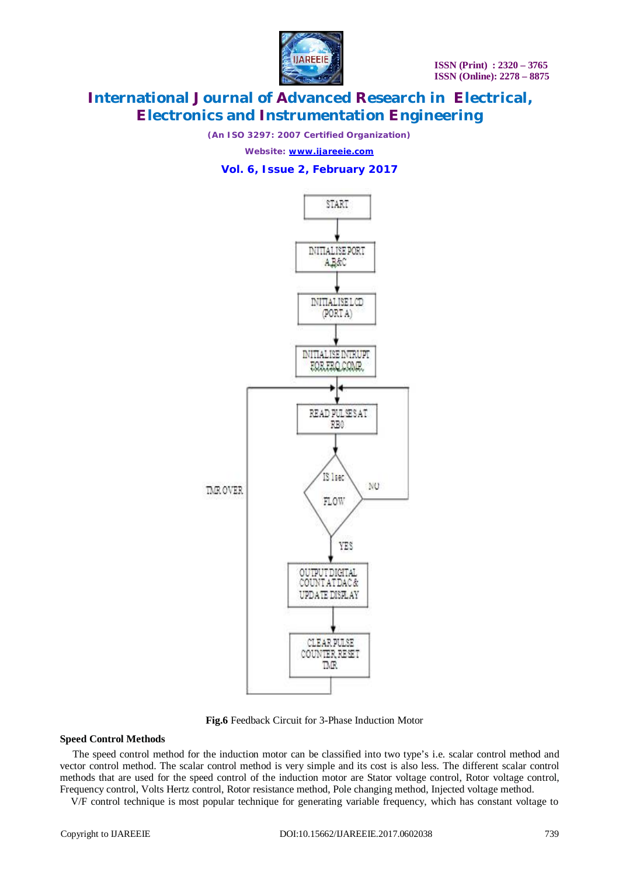

*(An ISO 3297: 2007 Certified Organization)*

*Website: [www.ijareeie.com](http://www.ijareeie.com)*

#### **Vol. 6, Issue 2, February 2017**



**Fig.6** Feedback Circuit for 3-Phase Induction Motor

#### **Speed Control Methods**

 The speed control method for the induction motor can be classified into two type's i.e. scalar control method and vector control method. The scalar control method is very simple and its cost is also less. The different scalar control methods that are used for the speed control of the induction motor are Stator voltage control, Rotor voltage control, Frequency control, Volts Hertz control, Rotor resistance method, Pole changing method, Injected voltage method.

V/F control technique is most popular technique for generating variable frequency, which has constant voltage to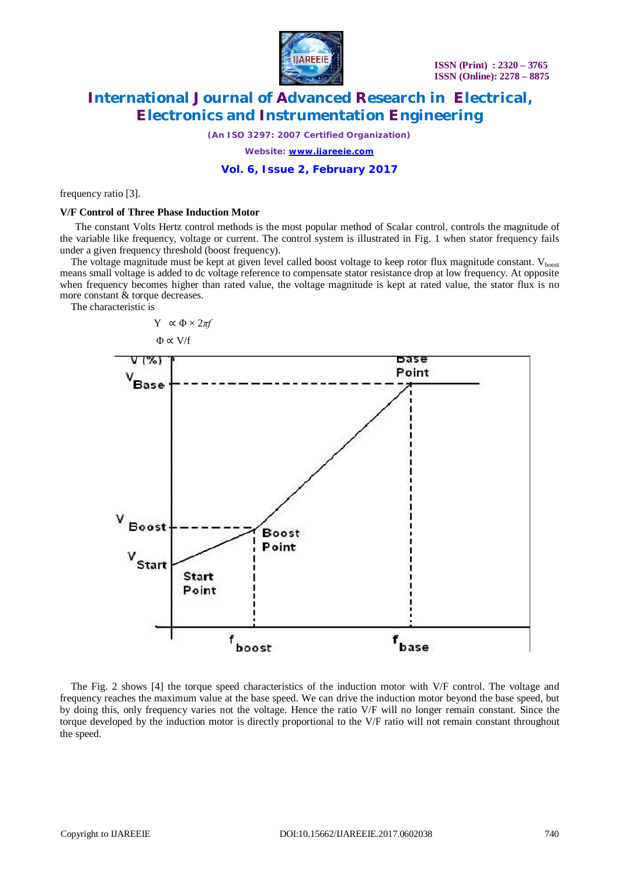

*(An ISO 3297: 2007 Certified Organization)*

*Website: [www.ijareeie.com](http://www.ijareeie.com)*

#### **Vol. 6, Issue 2, February 2017**

frequency ratio [3].

#### **V/F Control of Three Phase Induction Motor**

 The constant Volts Hertz control methods is the most popular method of Scalar control, controls the magnitude of the variable like frequency, voltage or current. The control system is illustrated in Fig. 1 when stator frequency fails under a given frequency threshold (boost frequency).

The voltage magnitude must be kept at given level called boost voltage to keep rotor flux magnitude constant.  $V_{\text{boost}}$ means small voltage is added to dc voltage reference to compensate stator resistance drop at low frequency. At opposite when frequency becomes higher than rated value, the voltage magnitude is kept at rated value, the stator flux is no more constant & torque decreases.

The characteristic is



The Fig. 2 shows [4] the torque speed characteristics of the induction motor with V/F control. The voltage and frequency reaches the maximum value at the base speed. We can drive the induction motor beyond the base speed, but by doing this, only frequency varies not the voltage. Hence the ratio V/F will no longer remain constant. Since the torque developed by the induction motor is directly proportional to the V/F ratio will not remain constant throughout the speed.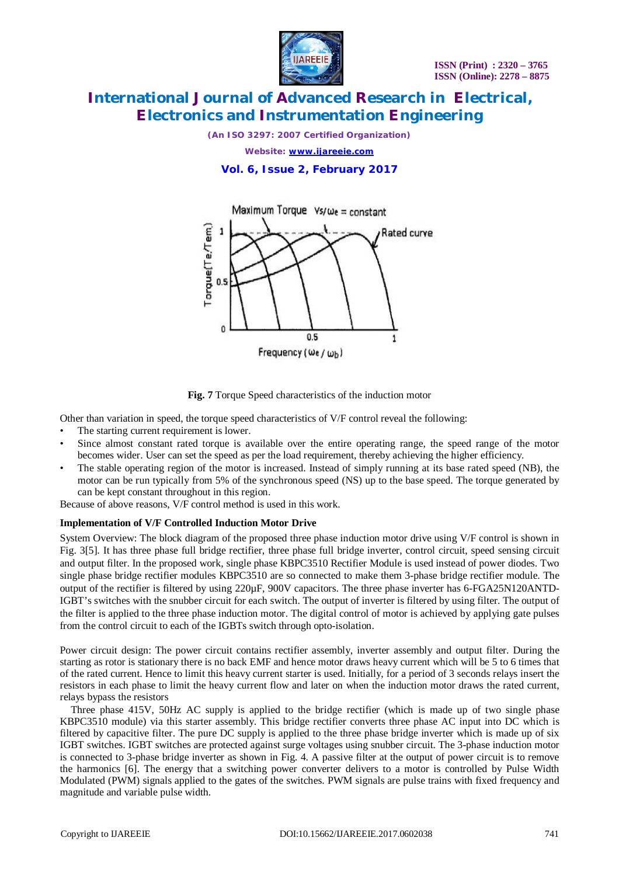

*(An ISO 3297: 2007 Certified Organization)*

*Website: [www.ijareeie.com](http://www.ijareeie.com)*

**Vol. 6, Issue 2, February 2017**





Other than variation in speed, the torque speed characteristics of V/F control reveal the following:

- The starting current requirement is lower.
- Since almost constant rated torque is available over the entire operating range, the speed range of the motor becomes wider. User can set the speed as per the load requirement, thereby achieving the higher efficiency.
- The stable operating region of the motor is increased. Instead of simply running at its base rated speed (NB), the motor can be run typically from 5% of the synchronous speed (NS) up to the base speed. The torque generated by can be kept constant throughout in this region.

Because of above reasons, V/F control method is used in this work.

#### **Implementation of V/F Controlled Induction Motor Drive**

System Overview: The block diagram of the proposed three phase induction motor drive using V/F control is shown in Fig. 3[5]. It has three phase full bridge rectifier, three phase full bridge inverter, control circuit, speed sensing circuit and output filter. In the proposed work, single phase KBPC3510 Rectifier Module is used instead of power diodes. Two single phase bridge rectifier modules KBPC3510 are so connected to make them 3-phase bridge rectifier module. The output of the rectifier is filtered by using 220µF, 900V capacitors. The three phase inverter has 6-FGA25N120ANTD-IGBT's switches with the snubber circuit for each switch. The output of inverter is filtered by using filter. The output of the filter is applied to the three phase induction motor. The digital control of motor is achieved by applying gate pulses from the control circuit to each of the IGBTs switch through opto-isolation.

Power circuit design: The power circuit contains rectifier assembly, inverter assembly and output filter. During the starting as rotor is stationary there is no back EMF and hence motor draws heavy current which will be 5 to 6 times that of the rated current. Hence to limit this heavy current starter is used. Initially, for a period of 3 seconds relays insert the resistors in each phase to limit the heavy current flow and later on when the induction motor draws the rated current, relays bypass the resistors

Three phase 415V, 50Hz AC supply is applied to the bridge rectifier (which is made up of two single phase KBPC3510 module) via this starter assembly. This bridge rectifier converts three phase AC input into DC which is filtered by capacitive filter. The pure DC supply is applied to the three phase bridge inverter which is made up of six IGBT switches. IGBT switches are protected against surge voltages using snubber circuit. The 3-phase induction motor is connected to 3-phase bridge inverter as shown in Fig. 4. A passive filter at the output of power circuit is to remove the harmonics [6]. The energy that a switching power converter delivers to a motor is controlled by Pulse Width Modulated (PWM) signals applied to the gates of the switches. PWM signals are pulse trains with fixed frequency and magnitude and variable pulse width.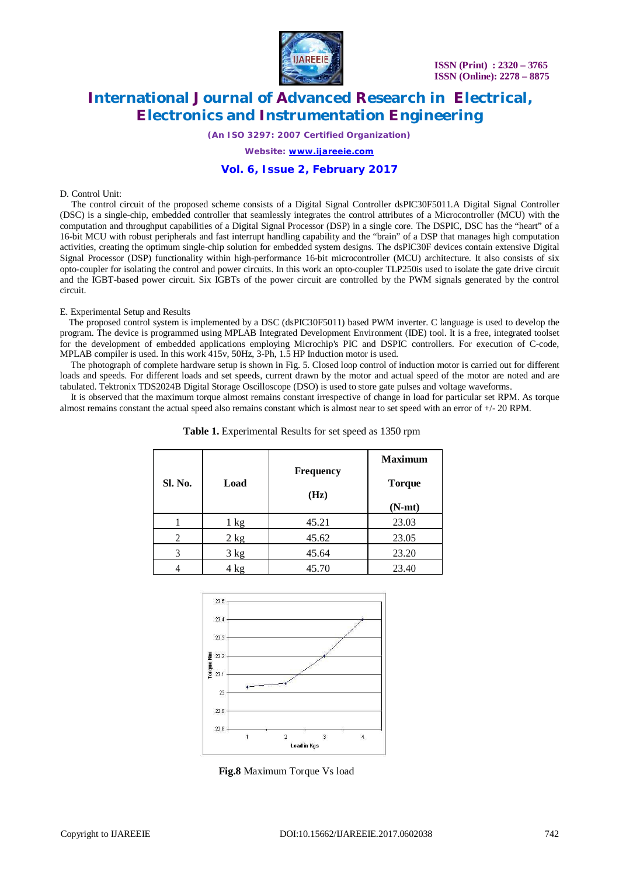

*(An ISO 3297: 2007 Certified Organization)*

*Website: [www.ijareeie.com](http://www.ijareeie.com)*

#### **Vol. 6, Issue 2, February 2017**

#### D. Control Unit:

The control circuit of the proposed scheme consists of a Digital Signal Controller dsPIC30F5011.A Digital Signal Controller (DSC) is a single-chip, embedded controller that seamlessly integrates the control attributes of a Microcontroller (MCU) with the computation and throughput capabilities of a Digital Signal Processor (DSP) in a single core. The DSPIC, DSC has the "heart" of a 16-bit MCU with robust peripherals and fast interrupt handling capability and the "brain" of a DSP that manages high computation activities, creating the optimum single-chip solution for embedded system designs. The dsPIC30F devices contain extensive Digital Signal Processor (DSP) functionality within high-performance 16-bit microcontroller (MCU) architecture. It also consists of six opto-coupler for isolating the control and power circuits. In this work an opto-coupler TLP250is used to isolate the gate drive circuit and the IGBT-based power circuit. Six IGBTs of the power circuit are controlled by the PWM signals generated by the control circuit.

#### E. Experimental Setup and Results

The proposed control system is implemented by a DSC (dsPIC30F5011) based PWM inverter. C language is used to develop the program. The device is programmed using MPLAB Integrated Development Environment (IDE) tool. It is a free, integrated toolset for the development of embedded applications employing Microchip's PIC and DSPIC controllers. For execution of C-code, MPLAB compiler is used. In this work 415v, 50Hz, 3-Ph, 1.5 HP Induction motor is used.

The photograph of complete hardware setup is shown in Fig. 5. Closed loop control of induction motor is carried out for different loads and speeds. For different loads and set speeds, current drawn by the motor and actual speed of the motor are noted and are tabulated. Tektronix TDS2024B Digital Storage Oscilloscope (DSO) is used to store gate pulses and voltage waveforms.

It is observed that the maximum torque almost remains constant irrespective of change in load for particular set RPM. As torque almost remains constant the actual speed also remains constant which is almost near to set speed with an error of  $+/-20$  RPM.

| Sl. No.        | Load           | <b>Frequency</b><br>(Hz) | <b>Maximum</b><br><b>Torque</b> |
|----------------|----------------|--------------------------|---------------------------------|
|                | $1 \text{ kg}$ | 45.21                    | $(N-mt)$<br>23.03               |
| $\overline{c}$ | $2$ kg         | 45.62                    | 23.05                           |
| 3              | 3 kg           | 45.64                    | 23.20                           |
|                | 4 kg           | 45.70                    | 23.40                           |

**Table 1.** Experimental Results for set speed as 1350 rpm



**Fig.8** Maximum Torque Vs load